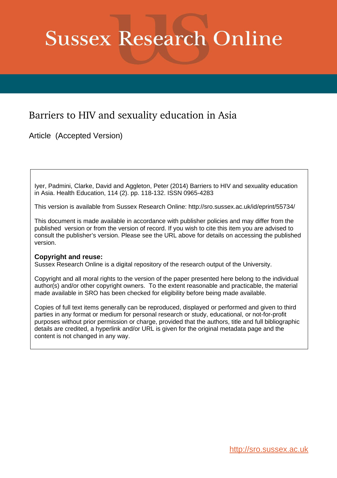# **Sussex Research Online**

# Barriers to HIV and sexuality education in Asia

Article (Accepted Version)

Iyer, Padmini, Clarke, David and Aggleton, Peter (2014) Barriers to HIV and sexuality education in Asia. Health Education, 114 (2). pp. 118-132. ISSN 0965-4283

This version is available from Sussex Research Online: http://sro.sussex.ac.uk/id/eprint/55734/

This document is made available in accordance with publisher policies and may differ from the published version or from the version of record. If you wish to cite this item you are advised to consult the publisher's version. Please see the URL above for details on accessing the published version.

#### **Copyright and reuse:**

Sussex Research Online is a digital repository of the research output of the University.

Copyright and all moral rights to the version of the paper presented here belong to the individual author(s) and/or other copyright owners. To the extent reasonable and practicable, the material made available in SRO has been checked for eligibility before being made available.

Copies of full text items generally can be reproduced, displayed or performed and given to third parties in any format or medium for personal research or study, educational, or not-for-profit purposes without prior permission or charge, provided that the authors, title and full bibliographic details are credited, a hyperlink and/or URL is given for the original metadata page and the content is not changed in any way.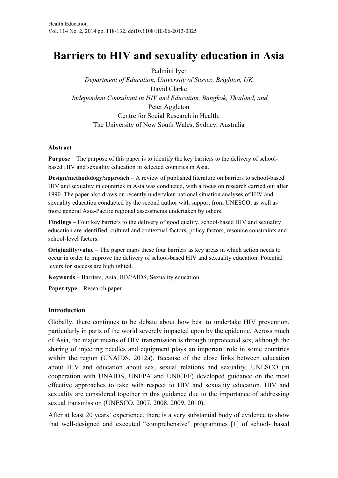# **Barriers to HIV and sexuality education in Asia**

Padmini Iyer

*Department of Education, University of Sussex, Brighton, UK*  David Clarke *Independent Consultant in HIV and Education, Bangkok, Thailand, and*  Peter Aggleton Centre for Social Research in Health, The University of New South Wales, Sydney, Australia

#### **Abstract**

**Purpose** – The purpose of this paper is to identify the key barriers to the delivery of schoolbased HIV and sexuality education in selected countries in Asia.

**Design/methodology/approach** – A review of published literature on barriers to school-based HIV and sexuality in countries in Asia was conducted, with a focus on research carried out after 1990. The paper also draws on recently undertaken national situation analyses of HIV and sexuality education conducted by the second author with support from UNESCO, as well as more general Asia-Pacific regional assessments undertaken by others.

**Findings** – Four key barriers to the delivery of good quality, school-based HIV and sexuality education are identified: cultural and contextual factors, policy factors, resource constraints and school-level factors.

**Originality/value** – The paper maps these four barriers as key areas in which action needs to occur in order to improve the delivery of school-based HIV and sexuality education. Potential levers for success are highlighted.

**Keywords** – Barriers, Asia, HIV/AIDS, Sexuality education

**Paper type** – Research paper

#### **Introduction**

Globally, there continues to be debate about how best to undertake HIV prevention, particularly in parts of the world severely impacted upon by the epidemic. Across much of Asia, the major means of HIV transmission is through unprotected sex, although the sharing of injecting needles and equipment plays an important role in some countries within the region (UNAIDS, 2012a). Because of the close links between education about HIV and education about sex, sexual relations and sexuality, UNESCO (in cooperation with UNAIDS, UNFPA and UNICEF) developed guidance on the most effective approaches to take with respect to HIV and sexuality education. HIV and sexuality are considered together in this guidance due to the importance of addressing sexual transmission (UNESCO, 2007, 2008, 2009, 2010).

After at least 20 years' experience, there is a very substantial body of evidence to show that well-designed and executed "comprehensive" programmes [1] of school- based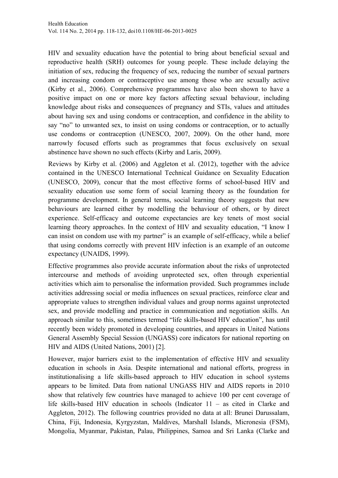HIV and sexuality education have the potential to bring about beneficial sexual and reproductive health (SRH) outcomes for young people. These include delaying the initiation of sex, reducing the frequency of sex, reducing the number of sexual partners and increasing condom or contraceptive use among those who are sexually active (Kirby et al., 2006). Comprehensive programmes have also been shown to have a positive impact on one or more key factors affecting sexual behaviour, including knowledge about risks and consequences of pregnancy and STIs, values and attitudes about having sex and using condoms or contraception, and confidence in the ability to say "no" to unwanted sex, to insist on using condoms or contraception, or to actually use condoms or contraception (UNESCO, 2007, 2009). On the other hand, more narrowly focused efforts such as programmes that focus exclusively on sexual abstinence have shown no such effects (Kirby and Laris, 2009).

Reviews by Kirby et al. (2006) and Aggleton et al. (2012), together with the advice contained in the UNESCO International Technical Guidance on Sexuality Education (UNESCO, 2009), concur that the most effective forms of school-based HIV and sexuality education use some form of social learning theory as the foundation for programme development. In general terms, social learning theory suggests that new behaviours are learned either by modelling the behaviour of others, or by direct experience. Self-efficacy and outcome expectancies are key tenets of most social learning theory approaches. In the context of HIV and sexuality education, "I know I can insist on condom use with my partner" is an example of self-efficacy, while a belief that using condoms correctly with prevent HIV infection is an example of an outcome expectancy (UNAIDS, 1999).

Effective programmes also provide accurate information about the risks of unprotected intercourse and methods of avoiding unprotected sex, often through experiential activities which aim to personalise the information provided. Such programmes include activities addressing social or media influences on sexual practices, reinforce clear and appropriate values to strengthen individual values and group norms against unprotected sex, and provide modelling and practice in communication and negotiation skills. An approach similar to this, sometimes termed "life skills-based HIV education", has until recently been widely promoted in developing countries, and appears in United Nations General Assembly Special Session (UNGASS) core indicators for national reporting on HIV and AIDS (United Nations, 2001) [2].

However, major barriers exist to the implementation of effective HIV and sexuality education in schools in Asia. Despite international and national efforts, progress in institutionalising a life skills-based approach to HIV education in school systems appears to be limited. Data from national UNGASS HIV and AIDS reports in 2010 show that relatively few countries have managed to achieve 100 per cent coverage of life skills-based HIV education in schools (Indicator 11 – as cited in Clarke and Aggleton, 2012). The following countries provided no data at all: Brunei Darussalam, China, Fiji, Indonesia, Kyrgyzstan, Maldives, Marshall Islands, Micronesia (FSM), Mongolia, Myanmar, Pakistan, Palau, Philippines, Samoa and Sri Lanka (Clarke and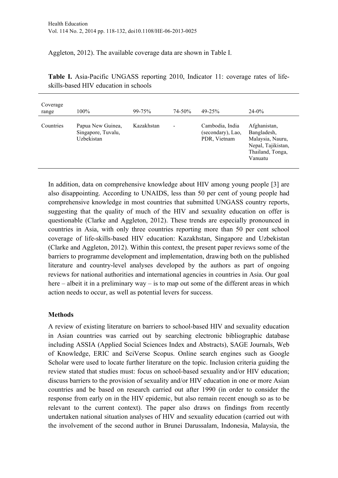Aggleton, 2012). The available coverage data are shown in Table I.

| Coverage<br>range | 100%                                                  | $99 - 75%$ | 74-50%                   | $49 - 25%$                                           | $24 - 0\%$                                                                                           |
|-------------------|-------------------------------------------------------|------------|--------------------------|------------------------------------------------------|------------------------------------------------------------------------------------------------------|
| Countries         | Papua New Guinea,<br>Singapore, Tuvalu,<br>Uzbekistan | Kazakhstan | $\overline{\phantom{a}}$ | Cambodia, India<br>(secondary), Lao,<br>PDR, Vietnam | Afghanistan,<br>Bangladesh,<br>Malaysia, Nauru,<br>Nepal, Tajikistan,<br>Thailand, Tonga,<br>Vanuatu |

**Table I.** Asia-Pacific UNGASS reporting 2010, Indicator 11: coverage rates of lifeskills-based HIV education in schools

In addition, data on comprehensive knowledge about HIV among young people [3] are also disappointing. According to UNAIDS, less than 50 per cent of young people had comprehensive knowledge in most countries that submitted UNGASS country reports, suggesting that the quality of much of the HIV and sexuality education on offer is questionable (Clarke and Aggleton, 2012). These trends are especially pronounced in countries in Asia, with only three countries reporting more than 50 per cent school coverage of life-skills-based HIV education: Kazakhstan, Singapore and Uzbekistan (Clarke and Aggleton, 2012). Within this context, the present paper reviews some of the barriers to programme development and implementation, drawing both on the published literature and country-level analyses developed by the authors as part of ongoing reviews for national authorities and international agencies in countries in Asia. Our goal here – albeit it in a preliminary way – is to map out some of the different areas in which action needs to occur, as well as potential levers for success.

# **Methods**

A review of existing literature on barriers to school-based HIV and sexuality education in Asian countries was carried out by searching electronic bibliographic database including ASSIA (Applied Social Sciences Index and Abstracts), SAGE Journals, Web of Knowledge, ERIC and SciVerse Scopus. Online search engines such as Google Scholar were used to locate further literature on the topic. Inclusion criteria guiding the review stated that studies must: focus on school-based sexuality and/or HIV education; discuss barriers to the provision of sexuality and/or HIV education in one or more Asian countries and be based on research carried out after 1990 (in order to consider the response from early on in the HIV epidemic, but also remain recent enough so as to be relevant to the current context). The paper also draws on findings from recently undertaken national situation analyses of HIV and sexuality education (carried out with the involvement of the second author in Brunei Darussalam, Indonesia, Malaysia, the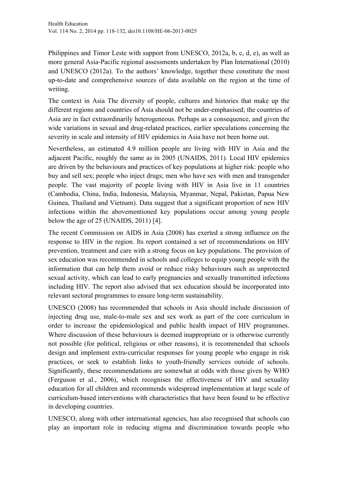Philippines and Timor Leste with support from UNESCO, 2012a, b, c, d, e), as well as more general Asia-Pacific regional assessments undertaken by Plan International (2010) and UNESCO (2012a). To the authors' knowledge, together these constitute the most up-to-date and comprehensive sources of data available on the region at the time of writing.

The context in Asia The diversity of people, cultures and histories that make up the different regions and countries of Asia should not be under-emphasised; the countries of Asia are in fact extraordinarily heterogeneous. Perhaps as a consequence, and given the wide variations in sexual and drug-related practices, earlier speculations concerning the severity in scale and intensity of HIV epidemics in Asia have not been borne out.

Nevertheless, an estimated 4.9 million people are living with HIV in Asia and the adjacent Pacific, roughly the same as in 2005 (UNAIDS, 2011). Local HIV epidemics are driven by the behaviours and practices of key populations at higher risk: people who buy and sell sex; people who inject drugs; men who have sex with men and transgender people. The vast majority of people living with HIV in Asia live in 11 countries (Cambodia, China, India, Indonesia, Malaysia, Myanmar, Nepal, Pakistan, Papua New Guinea, Thailand and Vietnam). Data suggest that a significant proportion of new HIV infections within the abovementioned key populations occur among young people below the age of 25 (UNAIDS, 2011) [4].

The recent Commission on AIDS in Asia (2008) has exerted a strong influence on the response to HIV in the region. Its report contained a set of recommendations on HIV prevention, treatment and care with a strong focus on key populations. The provision of sex education was recommended in schools and colleges to equip young people with the information that can help them avoid or reduce risky behaviours such as unprotected sexual activity, which can lead to early pregnancies and sexually transmitted infections including HIV. The report also advised that sex education should be incorporated into relevant sectoral programmes to ensure long-term sustainability.

UNESCO (2008) has recommended that schools in Asia should include discussion of injecting drug use, male-to-male sex and sex work as part of the core curriculum in order to increase the epidemiological and public health impact of HIV programmes. Where discussion of these behaviours is deemed inappropriate or is otherwise currently not possible (for political, religious or other reasons), it is recommended that schools design and implement extra-curricular responses for young people who engage in risk practices, or seek to establish links to youth-friendly services outside of schools. Significantly, these recommendations are somewhat at odds with those given by WHO (Ferguson et al., 2006), which recognises the effectiveness of HIV and sexuality education for all children and recommends widespread implementation at large scale of curriculum-based interventions with characteristics that have been found to be effective in developing countries.

UNESCO, along with other international agencies, has also recognised that schools can play an important role in reducing stigma and discrimination towards people who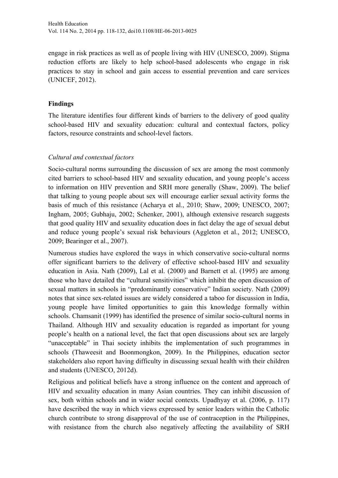engage in risk practices as well as of people living with HIV (UNESCO, 2009). Stigma reduction efforts are likely to help school-based adolescents who engage in risk practices to stay in school and gain access to essential prevention and care services (UNICEF, 2012).

## **Findings**

The literature identifies four different kinds of barriers to the delivery of good quality school-based HIV and sexuality education: cultural and contextual factors, policy factors, resource constraints and school-level factors.

# *Cultural and contextual factors*

Socio-cultural norms surrounding the discussion of sex are among the most commonly cited barriers to school-based HIV and sexuality education, and young people's access to information on HIV prevention and SRH more generally (Shaw, 2009). The belief that talking to young people about sex will encourage earlier sexual activity forms the basis of much of this resistance (Acharya et al., 2010; Shaw, 2009; UNESCO, 2007; Ingham, 2005; Gubhaju, 2002; Schenker, 2001), although extensive research suggests that good quality HIV and sexuality education does in fact delay the age of sexual debut and reduce young people's sexual risk behaviours (Aggleton et al., 2012; UNESCO, 2009; Bearinger et al., 2007).

Numerous studies have explored the ways in which conservative socio-cultural norms offer significant barriers to the delivery of effective school-based HIV and sexuality education in Asia. Nath (2009), Lal et al. (2000) and Barnett et al. (1995) are among those who have detailed the "cultural sensitivities" which inhibit the open discussion of sexual matters in schools in "predominantly conservative" Indian society. Nath (2009) notes that since sex-related issues are widely considered a taboo for discussion in India, young people have limited opportunities to gain this knowledge formally within schools. Chamsanit (1999) has identified the presence of similar socio-cultural norms in Thailand. Although HIV and sexuality education is regarded as important for young people's health on a national level, the fact that open discussions about sex are largely "unacceptable" in Thai society inhibits the implementation of such programmes in schools (Thaweesit and Boonmongkon, 2009). In the Philippines, education sector stakeholders also report having difficulty in discussing sexual health with their children and students (UNESCO, 2012d).

Religious and political beliefs have a strong influence on the content and approach of HIV and sexuality education in many Asian countries. They can inhibit discussion of sex, both within schools and in wider social contexts. Upadhyay et al. (2006, p. 117) have described the way in which views expressed by senior leaders within the Catholic church contribute to strong disapproval of the use of contraception in the Philippines, with resistance from the church also negatively affecting the availability of SRH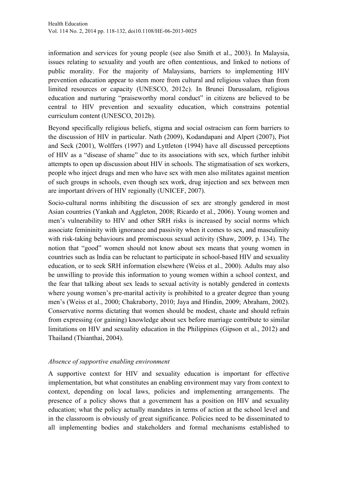information and services for young people (see also Smith et al., 2003). In Malaysia, issues relating to sexuality and youth are often contentious, and linked to notions of public morality. For the majority of Malaysians, barriers to implementing HIV prevention education appear to stem more from cultural and religious values than from limited resources or capacity (UNESCO, 2012c). In Brunei Darussalam, religious education and nurturing "praiseworthy moral conduct" in citizens are believed to be central to HIV prevention and sexuality education, which constrains potential curriculum content (UNESCO, 2012b).

Beyond specifically religious beliefs, stigma and social ostracism can form barriers to the discussion of HIV in particular. Nath (2009), Kodandapani and Alpert (2007), Piot and Seck (2001), Wolffers (1997) and Lyttleton (1994) have all discussed perceptions of HIV as a "disease of shame" due to its associations with sex, which further inhibit attempts to open up discussion about HIV in schools. The stigmatisation of sex workers, people who inject drugs and men who have sex with men also militates against mention of such groups in schools, even though sex work, drug injection and sex between men are important drivers of HIV regionally (UNICEF, 2007).

Socio-cultural norms inhibiting the discussion of sex are strongly gendered in most Asian countries (Yankah and Aggleton, 2008; Ricardo et al., 2006). Young women and men's vulnerability to HIV and other SRH risks is increased by social norms which associate femininity with ignorance and passivity when it comes to sex, and masculinity with risk-taking behaviours and promiscuous sexual activity (Shaw, 2009, p. 134). The notion that "good" women should not know about sex means that young women in countries such as India can be reluctant to participate in school-based HIV and sexuality education, or to seek SRH information elsewhere (Weiss et al., 2000). Adults may also be unwilling to provide this information to young women within a school context, and the fear that talking about sex leads to sexual activity is notably gendered in contexts where young women's pre-marital activity is prohibited to a greater degree than young men's (Weiss et al., 2000; Chakraborty, 2010; Jaya and Hindin, 2009; Abraham, 2002). Conservative norms dictating that women should be modest, chaste and should refrain from expressing (or gaining) knowledge about sex before marriage contribute to similar limitations on HIV and sexuality education in the Philippines (Gipson et al., 2012) and Thailand (Thianthai, 2004).

#### *Absence of supportive enabling environment*

A supportive context for HIV and sexuality education is important for effective implementation, but what constitutes an enabling environment may vary from context to context, depending on local laws, policies and implementing arrangements. The presence of a policy shows that a government has a position on HIV and sexuality education; what the policy actually mandates in terms of action at the school level and in the classroom is obviously of great significance. Policies need to be disseminated to all implementing bodies and stakeholders and formal mechanisms established to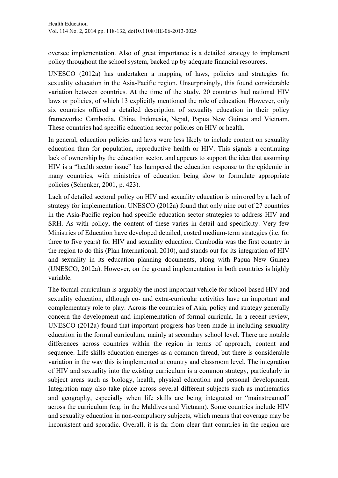oversee implementation. Also of great importance is a detailed strategy to implement policy throughout the school system, backed up by adequate financial resources.

UNESCO (2012a) has undertaken a mapping of laws, policies and strategies for sexuality education in the Asia-Pacific region. Unsurprisingly, this found considerable variation between countries. At the time of the study, 20 countries had national HIV laws or policies, of which 13 explicitly mentioned the role of education. However, only six countries offered a detailed description of sexuality education in their policy frameworks: Cambodia, China, Indonesia, Nepal, Papua New Guinea and Vietnam. These countries had specific education sector policies on HIV or health.

In general, education policies and laws were less likely to include content on sexuality education than for population, reproductive health or HIV. This signals a continuing lack of ownership by the education sector, and appears to support the idea that assuming HIV is a "health sector issue" has hampered the education response to the epidemic in many countries, with ministries of education being slow to formulate appropriate policies (Schenker, 2001, p. 423).

Lack of detailed sectoral policy on HIV and sexuality education is mirrored by a lack of strategy for implementation. UNESCO (2012a) found that only nine out of 27 countries in the Asia-Pacific region had specific education sector strategies to address HIV and SRH. As with policy, the content of these varies in detail and specificity. Very few Ministries of Education have developed detailed, costed medium-term strategies (i.e. for three to five years) for HIV and sexuality education. Cambodia was the first country in the region to do this (Plan International, 2010), and stands out for its integration of HIV and sexuality in its education planning documents, along with Papua New Guinea (UNESCO, 2012a). However, on the ground implementation in both countries is highly variable.

The formal curriculum is arguably the most important vehicle for school-based HIV and sexuality education, although co- and extra-curricular activities have an important and complementary role to play. Across the countries of Asia, policy and strategy generally concern the development and implementation of formal curricula. In a recent review, UNESCO (2012a) found that important progress has been made in including sexuality education in the formal curriculum, mainly at secondary school level. There are notable differences across countries within the region in terms of approach, content and sequence. Life skills education emerges as a common thread, but there is considerable variation in the way this is implemented at country and classroom level. The integration of HIV and sexuality into the existing curriculum is a common strategy, particularly in subject areas such as biology, health, physical education and personal development. Integration may also take place across several different subjects such as mathematics and geography, especially when life skills are being integrated or "mainstreamed" across the curriculum (e.g. in the Maldives and Vietnam). Some countries include HIV and sexuality education in non-compulsory subjects, which means that coverage may be inconsistent and sporadic. Overall, it is far from clear that countries in the region are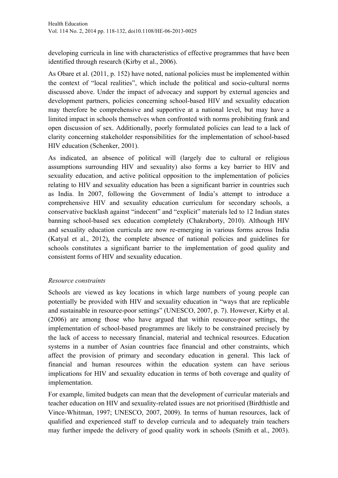developing curricula in line with characteristics of effective programmes that have been identified through research (Kirby et al., 2006).

As Obare et al. (2011, p. 152) have noted, national policies must be implemented within the context of "local realities", which include the political and socio-cultural norms discussed above. Under the impact of advocacy and support by external agencies and development partners, policies concerning school-based HIV and sexuality education may therefore be comprehensive and supportive at a national level, but may have a limited impact in schools themselves when confronted with norms prohibiting frank and open discussion of sex. Additionally, poorly formulated policies can lead to a lack of clarity concerning stakeholder responsibilities for the implementation of school-based HIV education (Schenker, 2001).

As indicated, an absence of political will (largely due to cultural or religious assumptions surrounding HIV and sexuality) also forms a key barrier to HIV and sexuality education, and active political opposition to the implementation of policies relating to HIV and sexuality education has been a significant barrier in countries such as India. In 2007, following the Government of India's attempt to introduce a comprehensive HIV and sexuality education curriculum for secondary schools, a conservative backlash against "indecent" and "explicit" materials led to 12 Indian states banning school-based sex education completely (Chakraborty, 2010). Although HIV and sexuality education curricula are now re-emerging in various forms across India (Katyal et al., 2012), the complete absence of national policies and guidelines for schools constitutes a significant barrier to the implementation of good quality and consistent forms of HIV and sexuality education.

#### *Resource constraints*

Schools are viewed as key locations in which large numbers of young people can potentially be provided with HIV and sexuality education in "ways that are replicable and sustainable in resource-poor settings" (UNESCO, 2007, p. 7). However, Kirby et al. (2006) are among those who have argued that within resource-poor settings, the implementation of school-based programmes are likely to be constrained precisely by the lack of access to necessary financial, material and technical resources. Education systems in a number of Asian countries face financial and other constraints, which affect the provision of primary and secondary education in general. This lack of financial and human resources within the education system can have serious implications for HIV and sexuality education in terms of both coverage and quality of implementation.

For example, limited budgets can mean that the development of curricular materials and teacher education on HIV and sexuality-related issues are not prioritised (Birdthistle and Vince-Whitman, 1997; UNESCO, 2007, 2009). In terms of human resources, lack of qualified and experienced staff to develop curricula and to adequately train teachers may further impede the delivery of good quality work in schools (Smith et al., 2003).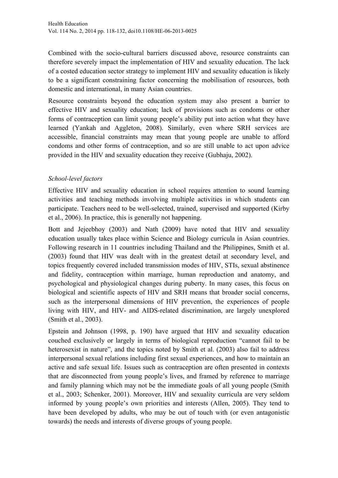Combined with the socio-cultural barriers discussed above, resource constraints can therefore severely impact the implementation of HIV and sexuality education. The lack of a costed education sector strategy to implement HIV and sexuality education is likely to be a significant constraining factor concerning the mobilisation of resources, both domestic and international, in many Asian countries.

Resource constraints beyond the education system may also present a barrier to effective HIV and sexuality education; lack of provisions such as condoms or other forms of contraception can limit young people's ability put into action what they have learned (Yankah and Aggleton, 2008). Similarly, even where SRH services are accessible, financial constraints may mean that young people are unable to afford condoms and other forms of contraception, and so are still unable to act upon advice provided in the HIV and sexuality education they receive (Gubhaju, 2002).

# *School-level factors*

Effective HIV and sexuality education in school requires attention to sound learning activities and teaching methods involving multiple activities in which students can participate. Teachers need to be well-selected, trained, supervised and supported (Kirby et al., 2006). In practice, this is generally not happening.

Bott and Jejeebhoy (2003) and Nath (2009) have noted that HIV and sexuality education usually takes place within Science and Biology curricula in Asian countries. Following research in 11 countries including Thailand and the Philippines, Smith et al. (2003) found that HIV was dealt with in the greatest detail at secondary level, and topics frequently covered included transmission modes of HIV, STIs, sexual abstinence and fidelity, contraception within marriage, human reproduction and anatomy, and psychological and physiological changes during puberty. In many cases, this focus on biological and scientific aspects of HIV and SRH means that broader social concerns, such as the interpersonal dimensions of HIV prevention, the experiences of people living with HIV, and HIV- and AIDS-related discrimination, are largely unexplored (Smith et al., 2003).

Epstein and Johnson (1998, p. 190) have argued that HIV and sexuality education couched exclusively or largely in terms of biological reproduction "cannot fail to be heterosexist in nature", and the topics noted by Smith et al. (2003) also fail to address interpersonal sexual relations including first sexual experiences, and how to maintain an active and safe sexual life. Issues such as contraception are often presented in contexts that are disconnected from young people's lives, and framed by reference to marriage and family planning which may not be the immediate goals of all young people (Smith et al., 2003; Schenker, 2001). Moreover, HIV and sexuality curricula are very seldom informed by young people's own priorities and interests (Allen, 2005). They tend to have been developed by adults, who may be out of touch with (or even antagonistic towards) the needs and interests of diverse groups of young people.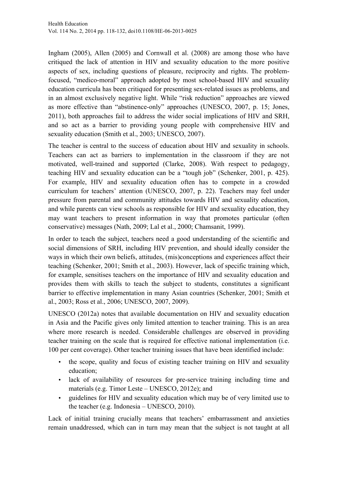Ingham (2005), Allen (2005) and Cornwall et al. (2008) are among those who have critiqued the lack of attention in HIV and sexuality education to the more positive aspects of sex, including questions of pleasure, reciprocity and rights. The problemfocused, "medico-moral" approach adopted by most school-based HIV and sexuality education curricula has been critiqued for presenting sex-related issues as problems, and in an almost exclusively negative light. While "risk reduction" approaches are viewed as more effective than "abstinence-only" approaches (UNESCO, 2007, p. 15; Jones, 2011), both approaches fail to address the wider social implications of HIV and SRH, and so act as a barrier to providing young people with comprehensive HIV and sexuality education (Smith et al., 2003; UNESCO, 2007).

The teacher is central to the success of education about HIV and sexuality in schools. Teachers can act as barriers to implementation in the classroom if they are not motivated, well-trained and supported (Clarke, 2008). With respect to pedagogy, teaching HIV and sexuality education can be a "tough job" (Schenker, 2001, p. 425). For example, HIV and sexuality education often has to compete in a crowded curriculum for teachers' attention (UNESCO, 2007, p. 22). Teachers may feel under pressure from parental and community attitudes towards HIV and sexuality education, and while parents can view schools as responsible for HIV and sexuality education, they may want teachers to present information in way that promotes particular (often conservative) messages (Nath, 2009; Lal et al., 2000; Chamsanit, 1999).

In order to teach the subject, teachers need a good understanding of the scientific and social dimensions of SRH, including HIV prevention, and should ideally consider the ways in which their own beliefs, attitudes, (mis)conceptions and experiences affect their teaching (Schenker, 2001; Smith et al., 2003). However, lack of specific training which, for example, sensitises teachers on the importance of HIV and sexuality education and provides them with skills to teach the subject to students, constitutes a significant barrier to effective implementation in many Asian countries (Schenker, 2001; Smith et al., 2003; Ross et al., 2006; UNESCO, 2007, 2009).

UNESCO (2012a) notes that available documentation on HIV and sexuality education in Asia and the Pacific gives only limited attention to teacher training. This is an area where more research is needed. Considerable challenges are observed in providing teacher training on the scale that is required for effective national implementation (i.e. 100 per cent coverage). Other teacher training issues that have been identified include:

- the scope, quality and focus of existing teacher training on HIV and sexuality education;
- lack of availability of resources for pre-service training including time and materials (e.g. Timor Leste – UNESCO, 2012e); and
- guidelines for HIV and sexuality education which may be of very limited use to the teacher (e.g. Indonesia – UNESCO, 2010).

Lack of initial training crucially means that teachers' embarrassment and anxieties remain unaddressed, which can in turn may mean that the subject is not taught at all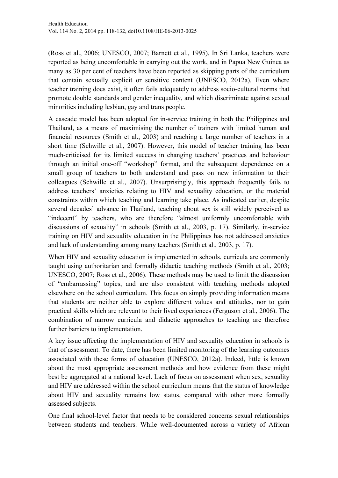(Ross et al., 2006; UNESCO, 2007; Barnett et al., 1995). In Sri Lanka, teachers were reported as being uncomfortable in carrying out the work, and in Papua New Guinea as many as 30 per cent of teachers have been reported as skipping parts of the curriculum that contain sexually explicit or sensitive content (UNESCO, 2012a). Even where teacher training does exist, it often fails adequately to address socio-cultural norms that promote double standards and gender inequality, and which discriminate against sexual minorities including lesbian, gay and trans people.

A cascade model has been adopted for in-service training in both the Philippines and Thailand, as a means of maximising the number of trainers with limited human and financial resources (Smith et al., 2003) and reaching a large number of teachers in a short time (Schwille et al., 2007). However, this model of teacher training has been much-criticised for its limited success in changing teachers' practices and behaviour through an initial one-off "workshop" format, and the subsequent dependence on a small group of teachers to both understand and pass on new information to their colleagues (Schwille et al., 2007). Unsurprisingly, this approach frequently fails to address teachers' anxieties relating to HIV and sexuality education, or the material constraints within which teaching and learning take place. As indicated earlier, despite several decades' advance in Thailand, teaching about sex is still widely perceived as "indecent" by teachers, who are therefore "almost uniformly uncomfortable with discussions of sexuality" in schools (Smith et al., 2003, p. 17). Similarly, in-service training on HIV and sexuality education in the Philippines has not addressed anxieties and lack of understanding among many teachers (Smith et al., 2003, p. 17).

When HIV and sexuality education is implemented in schools, curricula are commonly taught using authoritarian and formally didactic teaching methods (Smith et al., 2003; UNESCO, 2007; Ross et al., 2006). These methods may be used to limit the discussion of "embarrassing" topics, and are also consistent with teaching methods adopted elsewhere on the school curriculum. This focus on simply providing information means that students are neither able to explore different values and attitudes, nor to gain practical skills which are relevant to their lived experiences (Ferguson et al., 2006). The combination of narrow curricula and didactic approaches to teaching are therefore further barriers to implementation.

A key issue affecting the implementation of HIV and sexuality education in schools is that of assessment. To date, there has been limited monitoring of the learning outcomes associated with these forms of education (UNESCO, 2012a). Indeed, little is known about the most appropriate assessment methods and how evidence from these might best be aggregated at a national level. Lack of focus on assessment when sex, sexuality and HIV are addressed within the school curriculum means that the status of knowledge about HIV and sexuality remains low status, compared with other more formally assessed subjects.

One final school-level factor that needs to be considered concerns sexual relationships between students and teachers. While well-documented across a variety of African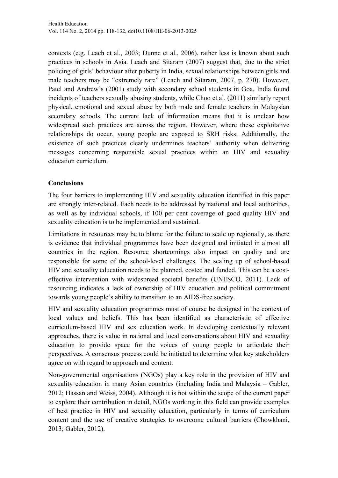contexts (e.g. Leach et al., 2003; Dunne et al., 2006), rather less is known about such practices in schools in Asia. Leach and Sitaram (2007) suggest that, due to the strict policing of girls' behaviour after puberty in India, sexual relationships between girls and male teachers may be "extremely rare" (Leach and Sitaram, 2007, p. 270). However, Patel and Andrew's (2001) study with secondary school students in Goa, India found incidents of teachers sexually abusing students, while Choo et al. (2011) similarly report physical, emotional and sexual abuse by both male and female teachers in Malaysian secondary schools. The current lack of information means that it is unclear how widespread such practices are across the region. However, where these exploitative relationships do occur, young people are exposed to SRH risks. Additionally, the existence of such practices clearly undermines teachers' authority when delivering messages concerning responsible sexual practices within an HIV and sexuality education curriculum.

## **Conclusions**

The four barriers to implementing HIV and sexuality education identified in this paper are strongly inter-related. Each needs to be addressed by national and local authorities, as well as by individual schools, if 100 per cent coverage of good quality HIV and sexuality education is to be implemented and sustained.

Limitations in resources may be to blame for the failure to scale up regionally, as there is evidence that individual programmes have been designed and initiated in almost all countries in the region. Resource shortcomings also impact on quality and are responsible for some of the school-level challenges. The scaling up of school-based HIV and sexuality education needs to be planned, costed and funded. This can be a costeffective intervention with widespread societal benefits (UNESCO, 2011). Lack of resourcing indicates a lack of ownership of HIV education and political commitment towards young people's ability to transition to an AIDS-free society.

HIV and sexuality education programmes must of course be designed in the context of local values and beliefs. This has been identified as characteristic of effective curriculum-based HIV and sex education work. In developing contextually relevant approaches, there is value in national and local conversations about HIV and sexuality education to provide space for the voices of young people to articulate their perspectives. A consensus process could be initiated to determine what key stakeholders agree on with regard to approach and content.

Non-governmental organisations (NGOs) play a key role in the provision of HIV and sexuality education in many Asian countries (including India and Malaysia – Gabler, 2012; Hassan and Weiss, 2004). Although it is not within the scope of the current paper to explore their contribution in detail, NGOs working in this field can provide examples of best practice in HIV and sexuality education, particularly in terms of curriculum content and the use of creative strategies to overcome cultural barriers (Chowkhani, 2013; Gabler, 2012).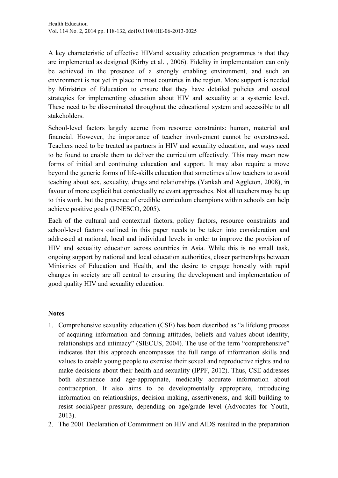A key characteristic of effective HIVand sexuality education programmes is that they are implemented as designed (Kirby et al. , 2006). Fidelity in implementation can only be achieved in the presence of a strongly enabling environment, and such an environment is not yet in place in most countries in the region. More support is needed by Ministries of Education to ensure that they have detailed policies and costed strategies for implementing education about HIV and sexuality at a systemic level. These need to be disseminated throughout the educational system and accessible to all stakeholders.

School-level factors largely accrue from resource constraints: human, material and financial. However, the importance of teacher involvement cannot be overstressed. Teachers need to be treated as partners in HIV and sexuality education, and ways need to be found to enable them to deliver the curriculum effectively. This may mean new forms of initial and continuing education and support. It may also require a move beyond the generic forms of life-skills education that sometimes allow teachers to avoid teaching about sex, sexuality, drugs and relationships (Yankah and Aggleton, 2008), in favour of more explicit but contextually relevant approaches. Not all teachers may be up to this work, but the presence of credible curriculum champions within schools can help achieve positive goals (UNESCO, 2005).

Each of the cultural and contextual factors, policy factors, resource constraints and school-level factors outlined in this paper needs to be taken into consideration and addressed at national, local and individual levels in order to improve the provision of HIV and sexuality education across countries in Asia. While this is no small task, ongoing support by national and local education authorities, closer partnerships between Ministries of Education and Health, and the desire to engage honestly with rapid changes in society are all central to ensuring the development and implementation of good quality HIV and sexuality education.

#### **Notes**

- 1. Comprehensive sexuality education (CSE) has been described as "a lifelong process of acquiring information and forming attitudes, beliefs and values about identity, relationships and intimacy" (SIECUS, 2004). The use of the term "comprehensive" indicates that this approach encompasses the full range of information skills and values to enable young people to exercise their sexual and reproductive rights and to make decisions about their health and sexuality (IPPF, 2012). Thus, CSE addresses both abstinence and age-appropriate, medically accurate information about contraception. It also aims to be developmentally appropriate, introducing information on relationships, decision making, assertiveness, and skill building to resist social/peer pressure, depending on age/grade level (Advocates for Youth, 2013).
- 2. The 2001 Declaration of Commitment on HIV and AIDS resulted in the preparation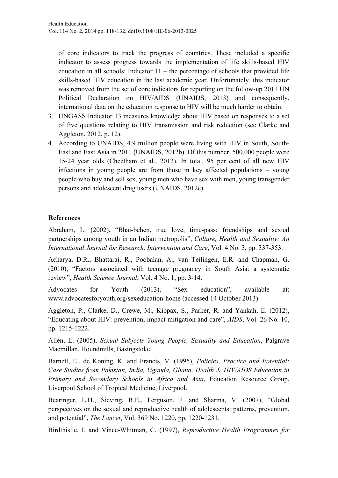of core indicators to track the progress of countries. These included a specific indicator to assess progress towards the implementation of life skills-based HIV education in all schools: Indicator  $11$  – the percentage of schools that provided life skills-based HIV education in the last academic year. Unfortunately, this indicator was removed from the set of core indicators for reporting on the follow-up 2011 UN Political Declaration on HIV/AIDS (UNAIDS, 2013) and consequently, international data on the education response to HIV will be much harder to obtain.

- 3. UNGASS Indicator 13 measures knowledge about HIV based on responses to a set of five questions relating to HIV transmission and risk reduction (see Clarke and Aggleton, 2012, p. 12).
- 4. According to UNAIDS, 4.9 million people were living with HIV in South, South-East and East Asia in 2011 (UNAIDS, 2012b). Of this number, 500,000 people were 15-24 year olds (Cheetham et al., 2012). In total, 95 per cent of all new HIV infections in young people are from those in key affected populations – young people who buy and sell sex, young men who have sex with men, young transgender persons and adolescent drug users (UNAIDS, 2012c).

# **References**

Abraham, L. (2002), "Bhai-behen, true love, time-pass: friendships and sexual partnerships among youth in an Indian metropolis", *Culture, Health and Sexuality: An International Journal for Research, Intervention and Care*, Vol. 4 No. 3, pp. 337-353.

Acharya, D.R., Bhattarai, R., Poobalan, A., van Teilingen, E.R. and Chapman, G. (2010), "Factors associated with teenage pregnancy in South Asia: a systematic review", *Health Science Journal*, Vol. 4 No. 1, pp. 3-14.

Advocates for Youth (2013), "Sex education", available at: www.advocatesforyouth.org/sexeducation-home (accessed 14 October 2013).

Aggleton, P., Clarke, D., Crewe, M., Kippax, S., Parker, R. and Yankah, E. (2012), "Educating about HIV: prevention, impact mitigation and care", *AIDS*, Vol. 26 No. 10, pp. 1215-1222.

Allen, L. (2005), *Sexual Subjects Young People, Sexuality and Education*, Palgrave Macmillan, Houndmills, Basingstoke.

Barnett, E., de Koning, K. and Francis, V. (1995), *Policies, Practice and Potential: Case Studies from Pakistan, India, Uganda, Ghana*. *Health & HIV/AIDS Education in Primary and Secondary Schools in Africa and Asia*, Education Resource Group, Liverpool School of Tropical Medicine, Liverpool.

Bearinger, L.H., Sieving, R.E., Ferguson, J. and Sharma, V. (2007), "Global perspectives on the sexual and reproductive health of adolescents: patterns, prevention, and potential", *The Lancet*, Vol. 369 No. 1220, pp. 1220-1231.

Birdthistle, I. and Vince-Whitman, C. (1997), *Reproductive Health Programmes for*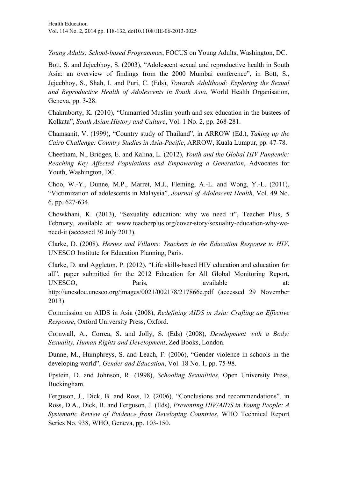*Young Adults: School-based Programmes*, FOCUS on Young Adults, Washington, DC.

Bott, S. and Jejeebhoy, S. (2003), "Adolescent sexual and reproductive health in South Asia: an overview of findings from the 2000 Mumbai conference", in Bott, S., Jejeebhoy, S., Shah, I. and Puri, C. (Eds), *Towards Adulthood: Exploring the Sexual and Reproductive Health of Adolescents in South Asia*, World Health Organisation, Geneva, pp. 3-28.

Chakraborty, K. (2010), "Unmarried Muslim youth and sex education in the bustees of Kolkata", *South Asian History and Culture*, Vol. 1 No. 2, pp. 268-281.

Chamsanit, V. (1999), "Country study of Thailand", in ARROW (Ed.), *Taking up the Cairo Challenge: Country Studies in Asia-Pacific*, ARROW, Kuala Lumpur, pp. 47-78.

Cheetham, N., Bridges, E. and Kalina, L. (2012), *Youth and the Global HIV Pandemic: Reaching Key Affected Populations and Empowering a Generation*, Advocates for Youth, Washington, DC.

Choo, W.-Y., Dunne, M.P., Marret, M.J., Fleming, A.-L. and Wong, Y.-L. (2011), "Victimization of adolescents in Malaysia", *Journal of Adolescent Health*, Vol. 49 No. 6, pp. 627-634.

Chowkhani, K. (2013), "Sexuality education: why we need it", Teacher Plus, 5 February, available at: www.teacherplus.org/cover-story/sexuality-education-why-weneed-it (accessed 30 July 2013).

Clarke, D. (2008), *Heroes and Villains: Teachers in the Education Response to HIV*, UNESCO Institute for Education Planning, Paris.

Clarke, D. and Aggleton, P. (2012), "Life skills-based HIV education and education for all", paper submitted for the 2012 Education for All Global Monitoring Report, UNESCO, Paris, available at: http://unesdoc.unesco.org/images/0021/002178/217866e.pdf (accessed 29 November 2013).

Commission on AIDS in Asia (2008), *Redefining AIDS in Asia: Crafting an Effective Response*, Oxford University Press, Oxford.

Cornwall, A., Correa, S. and Jolly, S. (Eds) (2008), *Development with a Body: Sexuality, Human Rights and Development*, Zed Books, London.

Dunne, M., Humphreys, S. and Leach, F. (2006), "Gender violence in schools in the developing world", *Gender and Education*, Vol. 18 No. 1, pp. 75-98.

Epstein, D. and Johnson, R. (1998), *Schooling Sexualities*, Open University Press, Buckingham.

Ferguson, J., Dick, B. and Ross, D. (2006), "Conclusions and recommendations", in Ross, D.A., Dick, B. and Ferguson, J. (Eds), *Preventing HIV/AIDS in Young People: A Systematic Review of Evidence from Developing Countries*, WHO Technical Report Series No. 938, WHO, Geneva, pp. 103-150.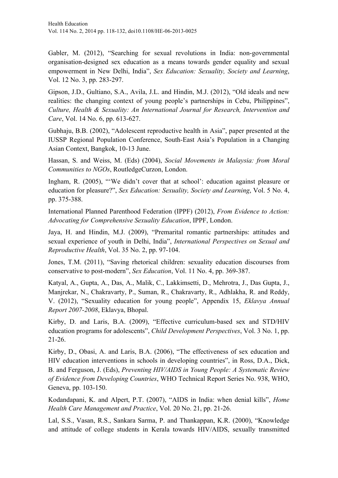Gabler, M. (2012), "Searching for sexual revolutions in India: non-governmental organisation-designed sex education as a means towards gender equality and sexual empowerment in New Delhi, India", *Sex Education: Sexuality, Society and Learning*, Vol. 12 No. 3, pp. 283-297.

Gipson, J.D., Gultiano, S.A., Avila, J.L. and Hindin, M.J. (2012), "Old ideals and new realities: the changing context of young people's partnerships in Cebu, Philippines", *Culture, Health & Sexuality: An International Journal for Research, Intervention and Care*, Vol. 14 No. 6, pp. 613-627.

Gubhaju, B.B. (2002), "Adolescent reproductive health in Asia", paper presented at the IUSSP Regional Population Conference, South-East Asia's Population in a Changing Asian Context, Bangkok, 10-13 June.

Hassan, S. and Weiss, M. (Eds) (2004), *Social Movements in Malaysia: from Moral Communities to NGOs*, RoutledgeCurzon, London.

Ingham, R. (2005), "'We didn't cover that at school': education against pleasure or education for pleasure?", *Sex Education: Sexuality, Society and Learning*, Vol. 5 No. 4, pp. 375-388.

International Planned Parenthood Federation (IPPF) (2012), *From Evidence to Action: Advocating for Comprehensive Sexuality Education*, IPPF, London.

Jaya, H. and Hindin, M.J. (2009), "Premarital romantic partnerships: attitudes and sexual experience of youth in Delhi, India", *International Perspectives on Sexual and Reproductive Health*, Vol. 35 No. 2, pp. 97-104.

Jones, T.M. (2011), "Saving rhetorical children: sexuality education discourses from conservative to post-modern", *Sex Education*, Vol. 11 No. 4, pp. 369-387.

Katyal, A., Gupta, A., Das, A., Malik, C., Lakkimsetti, D., Mehrotra, J., Das Gupta, J., Manjrekar, N., Chakravarty, P., Suman, R., Chakravarty, R., Adhlakha, R. and Reddy, V. (2012), "Sexuality education for young people", Appendix 15, *Eklavya Annual Report 2007-2008*, Eklavya, Bhopal.

Kirby, D. and Laris, B.A. (2009), "Effective curriculum-based sex and STD/HIV education programs for adolescents", *Child Development Perspectives*, Vol. 3 No. 1, pp. 21-26.

Kirby, D., Obasi, A. and Laris, B.A. (2006), "The effectiveness of sex education and HIV education interventions in schools in developing countries", in Ross, D.A., Dick, B. and Ferguson, J. (Eds), *Preventing HIV/AIDS in Young People: A Systematic Review of Evidence from Developing Countries*, WHO Technical Report Series No. 938, WHO, Geneva, pp. 103-150.

Kodandapani, K. and Alpert, P.T. (2007), "AIDS in India: when denial kills", *Home Health Care Management and Practice*, Vol. 20 No. 21, pp. 21-26.

Lal, S.S., Vasan, R.S., Sankara Sarma, P. and Thankappan, K.R. (2000), "Knowledge and attitude of college students in Kerala towards HIV/AIDS, sexually transmitted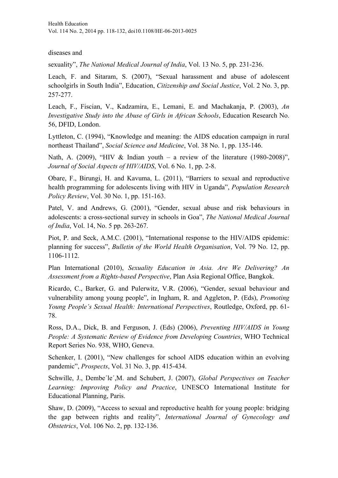diseases and

sexuality", *The National Medical Journal of India*, Vol. 13 No. 5, pp. 231-236.

Leach, F. and Sitaram, S. (2007), "Sexual harassment and abuse of adolescent schoolgirls in South India", Education, *Citizenship and Social Justice*, Vol. 2 No. 3, pp. 257-277.

Leach, F., Fiscian, V., Kadzamira, E., Lemani, E. and Machakanja, P. (2003), *An Investigative Study into the Abuse of Girls in African Schools*, Education Research No. 56, DFID, London.

Lyttleton, C. (1994), "Knowledge and meaning: the AIDS education campaign in rural northeast Thailand", *Social Science and Medicine*, Vol. 38 No. 1, pp. 135-146.

Nath, A. (2009), "HIV & Indian youth – a review of the literature (1980-2008)", *Journal of Social Aspects of HIV/AIDS*, Vol. 6 No. 1, pp. 2-8.

Obare, F., Birungi, H. and Kavuma, L. (2011), "Barriers to sexual and reproductive health programming for adolescents living with HIV in Uganda", *Population Research Policy Review*, Vol. 30 No. 1, pp. 151-163.

Patel, V. and Andrews, G. (2001), "Gender, sexual abuse and risk behaviours in adolescents: a cross-sectional survey in schools in Goa", *The National Medical Journal of India*, Vol. 14, No. 5 pp. 263-267.

Piot, P. and Seck, A.M.C. (2001), "International response to the HIV/AIDS epidemic: planning for success", *Bulletin of the World Health Organisation*, Vol. 79 No. 12, pp. 1106-1112.

Plan International (2010), *Sexuality Education in Asia. Are We Delivering? An Assessment from a Rights-based Perspective*, Plan Asia Regional Office, Bangkok.

Ricardo, C., Barker, G. and Pulerwitz, V.R. (2006), "Gender, sexual behaviour and vulnerability among young people", in Ingham, R. and Aggleton, P. (Eds), *Promoting Young People's Sexual Health: International Perspectives*, Routledge, Oxford, pp. 61- 78.

Ross, D.A., Dick, B. and Ferguson, J. (Eds) (2006), *Preventing HIV/AIDS in Young People: A Systematic Review of Evidence from Developing Countries*, WHO Technical Report Series No. 938, WHO, Geneva.

Schenker, I. (2001), "New challenges for school AIDS education within an evolving pandemic", *Prospects*, Vol. 31 No. 3, pp. 415-434.

Schwille, J., Dembe´le´,M. and Schubert, J. (2007), *Global Perspectives on Teacher Learning: Improving Policy and Practice*, UNESCO International Institute for Educational Planning, Paris.

Shaw, D. (2009), "Access to sexual and reproductive health for young people: bridging the gap between rights and reality", *International Journal of Gynecology and Obstetrics*, Vol. 106 No. 2, pp. 132-136.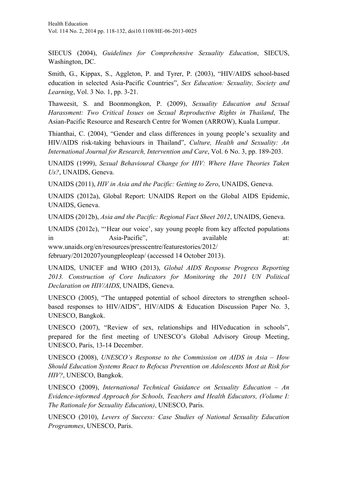SIECUS (2004), *Guidelines for Comprehensive Sexuality Education*, SIECUS, Washington, DC.

Smith, G., Kippax, S., Aggleton, P. and Tyrer, P. (2003), "HIV/AIDS school-based education in selected Asia-Pacific Countries", *Sex Education: Sexuality, Society and Learning*, Vol. 3 No. 1, pp. 3-21.

Thaweesit, S. and Boonmongkon, P. (2009), *Sexuality Education and Sexual Harassment: Two Critical Issues on Sexual Reproductive Rights in Thailand*, The Asian-Pacific Resource and Research Centre for Women (ARROW), Kuala Lumpur.

Thianthai, C. (2004), "Gender and class differences in young people's sexuality and HIV/AIDS risk-taking behaviours in Thailand", *Culture, Health and Sexuality: An International Journal for Research, Intervention and Care*, Vol. 6 No. 3, pp. 189-203.

UNAIDS (1999), *Sexual Behavioural Change for HIV: Where Have Theories Taken Us?*, UNAIDS, Geneva.

UNAIDS (2011), *HIV in Asia and the Pacific: Getting to Zero*, UNAIDS, Geneva.

UNAIDS (2012a), Global Report: UNAIDS Report on the Global AIDS Epidemic, UNAIDS, Geneva.

UNAIDS (2012b), *Asia and the Pacific: Regional Fact Sheet 2012*, UNAIDS, Geneva.

UNAIDS (2012c), "'Hear our voice', say young people from key affected populations in Asia-Pacific", available at: www.unaids.org/en/resources/presscentre/featurestories/2012/

february/20120207youngpleopleap/ (accessed 14 October 2013).

UNAIDS, UNICEF and WHO (2013), *Global AIDS Response Progress Reporting 2013. Construction of Core Indicators for Monitoring the 2011 UN Political Declaration on HIV/AIDS*, UNAIDS, Geneva.

UNESCO (2005), "The untapped potential of school directors to strengthen schoolbased responses to HIV/AIDS", HIV/AIDS & Education Discussion Paper No. 3, UNESCO, Bangkok.

UNESCO (2007), "Review of sex, relationships and HIVeducation in schools", prepared for the first meeting of UNESCO's Global Advisory Group Meeting, UNESCO, Paris, 13-14 December.

UNESCO (2008), *UNESCO's Response to the Commission on AIDS in Asia – How Should Education Systems React to Refocus Prevention on Adolescents Most at Risk for HIV?*, UNESCO, Bangkok.

UNESCO (2009), *International Technical Guidance on Sexuality Education – An Evidence-informed Approach for Schools, Teachers and Health Educators, (Volume I: The Rationale for Sexuality Education)*, UNESCO, Paris.

UNESCO (2010), *Levers of Success: Case Studies of National Sexuality Education Programmes*, UNESCO, Paris.